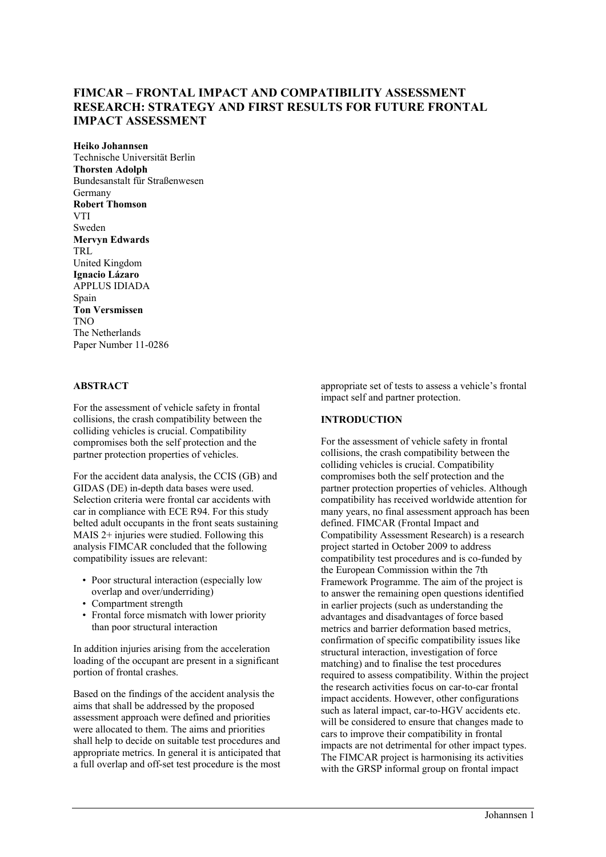# **FIMCAR – FRONTAL IMPACT AND COMPATIBILITY ASSESSMENT RESEARCH: STRATEGY AND FIRST RESULTS FOR FUTURE FRONTAL IMPACT ASSESSMENT**

**Heiko Johannsen**  Technische Universität Berlin **Thorsten Adolph**  Bundesanstalt für Straßenwesen Germany **Robert Thomson VTI** Sweden **Mervyn Edwards**  TRL United Kingdom **Ignacio Lázaro**  APPLUS IDIADA Spain **Ton Versmissen**  TNO The Netherlands Paper Number 11-0286

### **ABSTRACT**

For the assessment of vehicle safety in frontal collisions, the crash compatibility between the colliding vehicles is crucial. Compatibility compromises both the self protection and the partner protection properties of vehicles.

For the accident data analysis, the CCIS (GB) and GIDAS (DE) in-depth data bases were used. Selection criteria were frontal car accidents with car in compliance with ECE R94. For this study belted adult occupants in the front seats sustaining MAIS 2+ injuries were studied. Following this analysis FIMCAR concluded that the following compatibility issues are relevant:

- Poor structural interaction (especially low overlap and over/underriding)
- Compartment strength
- Frontal force mismatch with lower priority than poor structural interaction

In addition injuries arising from the acceleration loading of the occupant are present in a significant portion of frontal crashes.

Based on the findings of the accident analysis the aims that shall be addressed by the proposed assessment approach were defined and priorities were allocated to them. The aims and priorities shall help to decide on suitable test procedures and appropriate metrics. In general it is anticipated that a full overlap and off-set test procedure is the most appropriate set of tests to assess a vehicle's frontal impact self and partner protection.

### **INTRODUCTION**

For the assessment of vehicle safety in frontal collisions, the crash compatibility between the colliding vehicles is crucial. Compatibility compromises both the self protection and the partner protection properties of vehicles. Although compatibility has received worldwide attention for many years, no final assessment approach has been defined. FIMCAR (Frontal Impact and Compatibility Assessment Research) is a research project started in October 2009 to address compatibility test procedures and is co-funded by the European Commission within the 7th Framework Programme. The aim of the project is to answer the remaining open questions identified in earlier projects (such as understanding the advantages and disadvantages of force based metrics and barrier deformation based metrics, confirmation of specific compatibility issues like structural interaction, investigation of force matching) and to finalise the test procedures required to assess compatibility. Within the project the research activities focus on car-to-car frontal impact accidents. However, other configurations such as lateral impact, car-to-HGV accidents etc. will be considered to ensure that changes made to cars to improve their compatibility in frontal impacts are not detrimental for other impact types. The FIMCAR project is harmonising its activities with the GRSP informal group on frontal impact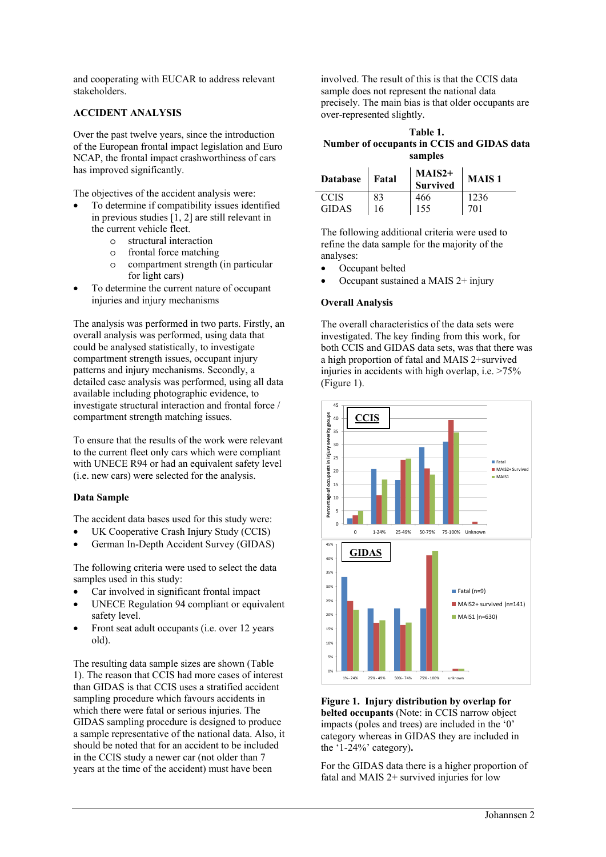and cooperating with EUCAR to address relevant stakeholders.

### **ACCIDENT ANALYSIS**

Over the past twelve years, since the introduction of the European frontal impact legislation and Euro NCAP, the frontal impact crashworthiness of cars has improved significantly.

The objectives of the accident analysis were:

- To determine if compatibility issues identified in previous studies [1, 2] are still relevant in the current vehicle fleet.
	- o structural interaction
	- o frontal force matching
	- o compartment strength (in particular for light cars)
- To determine the current nature of occupant injuries and injury mechanisms

The analysis was performed in two parts. Firstly, an overall analysis was performed, using data that could be analysed statistically, to investigate compartment strength issues, occupant injury patterns and injury mechanisms. Secondly, a detailed case analysis was performed, using all data available including photographic evidence, to investigate structural interaction and frontal force / compartment strength matching issues.

To ensure that the results of the work were relevant to the current fleet only cars which were compliant with UNECE R94 or had an equivalent safety level (i.e. new cars) were selected for the analysis.

## **Data Sample**

The accident data bases used for this study were:

- UK Cooperative Crash Injury Study (CCIS)
- German In-Depth Accident Survey (GIDAS)

The following criteria were used to select the data samples used in this study:

- Car involved in significant frontal impact
- UNECE Regulation 94 compliant or equivalent safety level.
- Front seat adult occupants (i.e. over 12 years old).

The resulting data sample sizes are shown (Table 1). The reason that CCIS had more cases of interest than GIDAS is that CCIS uses a stratified accident sampling procedure which favours accidents in which there were fatal or serious injuries. The GIDAS sampling procedure is designed to produce a sample representative of the national data. Also, it should be noted that for an accident to be included in the CCIS study a newer car (not older than 7 years at the time of the accident) must have been

involved. The result of this is that the CCIS data sample does not represent the national data precisely. The main bias is that older occupants are over-represented slightly.

**Table 1. Number of occupants in CCIS and GIDAS data samples** 

| <b>Database</b> | Fatal | $MAIS2+$<br><b>Survived</b> | <b>MAIS1</b> |
|-----------------|-------|-----------------------------|--------------|
| <b>CCIS</b>     | 83    | 466                         | 1236         |
| <b>GIDAS</b>    | 16    | 155                         | 701          |

The following additional criteria were used to refine the data sample for the majority of the analyses:

- Occupant belted
- Occupant sustained a MAIS 2+ injury

## **Overall Analysis**

The overall characteristics of the data sets were investigated. The key finding from this work, for both CCIS and GIDAS data sets, was that there was a high proportion of fatal and MAIS 2+survived injuries in accidents with high overlap, i.e. >75% (Figure 1).



**Figure 1. Injury distribution by overlap for belted occupants** (Note: in CCIS narrow object impacts (poles and trees) are included in the '0' category whereas in GIDAS they are included in the '1-24%' category)**.** 

For the GIDAS data there is a higher proportion of fatal and MAIS 2+ survived injuries for low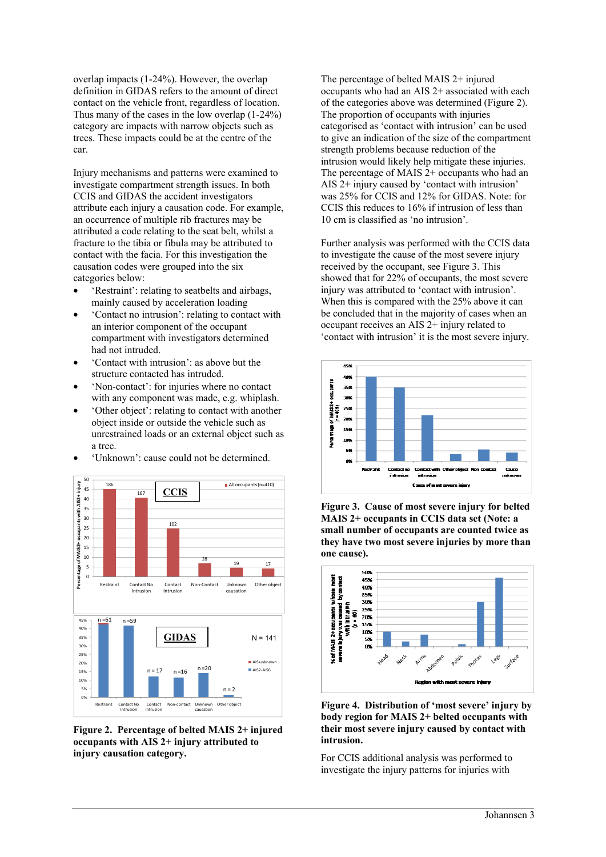overlap impacts (1-24%). However, the overlap definition in GIDAS refers to the amount of direct contact on the vehicle front, regardless of location. Thus many of the cases in the low overlap (1-24%) category are impacts with narrow objects such as trees. These impacts could be at the centre of the car.

Injury mechanisms and patterns were examined to investigate compartment strength issues. In both CCIS and GIDAS the accident investigators attribute each injury a causation code. For example, an occurrence of multiple rib fractures may be attributed a code relating to the seat belt, whilst a fracture to the tibia or fibula may be attributed to contact with the facia. For this investigation the causation codes were grouped into the six categories below:

- 'Restraint': relating to seatbelts and airbags, mainly caused by acceleration loading
- 'Contact no intrusion': relating to contact with an interior component of the occupant compartment with investigators determined had not intruded.
- 'Contact with intrusion': as above but the structure contacted has intruded.
- 'Non-contact': for injuries where no contact with any component was made, e.g. whiplash.
- 'Other object': relating to contact with another object inside or outside the vehicle such as unrestrained loads or an external object such as a tree.
- 'Unknown': cause could not be determined.



**Figure 2. Percentage of belted MAIS 2+ injured occupants with AIS 2+ injury attributed to injury causation category.** 

The percentage of belted MAIS 2+ injured occupants who had an AIS 2+ associated with each of the categories above was determined (Figure 2). The proportion of occupants with injuries categorised as 'contact with intrusion' can be used to give an indication of the size of the compartment strength problems because reduction of the intrusion would likely help mitigate these injuries. The percentage of MAIS 2+ occupants who had an AIS 2+ injury caused by 'contact with intrusion' was 25% for CCIS and 12% for GIDAS. Note: for CCIS this reduces to 16% if intrusion of less than 10 cm is classified as 'no intrusion'.

Further analysis was performed with the CCIS data to investigate the cause of the most severe injury received by the occupant, see Figure 3. This showed that for 22% of occupants, the most severe injury was attributed to 'contact with intrusion'. When this is compared with the 25% above it can be concluded that in the majority of cases when an occupant receives an AIS 2+ injury related to 'contact with intrusion' it is the most severe injury.



**Figure 3. Cause of most severe injury for belted MAIS 2+ occupants in CCIS data set (Note: a small number of occupants are counted twice as they have two most severe injuries by more than one cause).** 



**Figure 4. Distribution of 'most severe' injury by body region for MAIS 2+ belted occupants with their most severe injury caused by contact with intrusion.** 

For CCIS additional analysis was performed to investigate the injury patterns for injuries with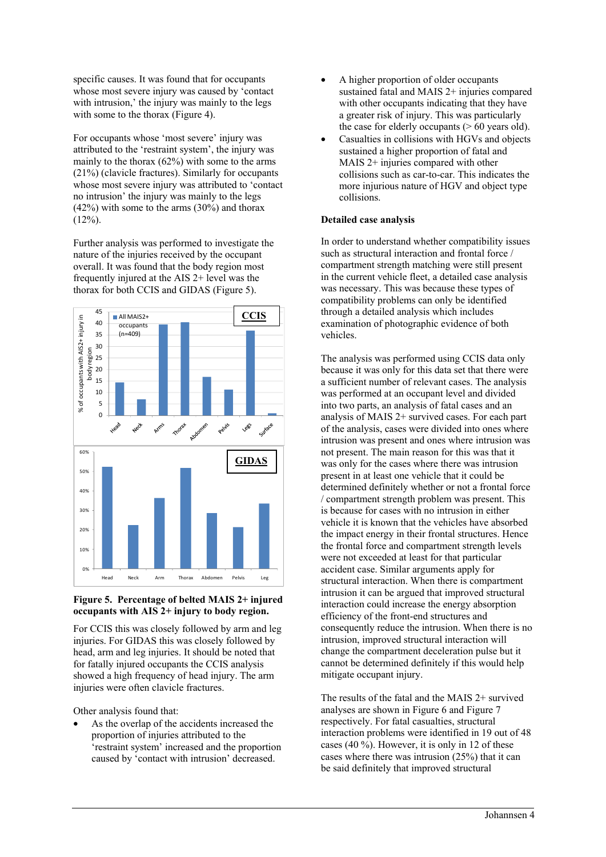specific causes. It was found that for occupants whose most severe injury was caused by 'contact with intrusion,' the injury was mainly to the legs with some to the thorax (Figure 4).

For occupants whose 'most severe' injury was attributed to the 'restraint system', the injury was mainly to the thorax (62%) with some to the arms (21%) (clavicle fractures). Similarly for occupants whose most severe injury was attributed to 'contact' no intrusion' the injury was mainly to the legs  $(42%)$  with some to the arms  $(30%)$  and thorax  $(12\%)$ .

Further analysis was performed to investigate the nature of the injuries received by the occupant overall. It was found that the body region most frequently injured at the AIS 2+ level was the thorax for both CCIS and GIDAS (Figure 5).



## **Figure 5. Percentage of belted MAIS 2+ injured occupants with AIS 2+ injury to body region.**

For CCIS this was closely followed by arm and leg injuries. For GIDAS this was closely followed by head, arm and leg injuries. It should be noted that for fatally injured occupants the CCIS analysis showed a high frequency of head injury. The arm injuries were often clavicle fractures.

Other analysis found that:

As the overlap of the accidents increased the proportion of injuries attributed to the 'restraint system' increased and the proportion caused by 'contact with intrusion' decreased.

- A higher proportion of older occupants sustained fatal and MAIS 2+ injuries compared with other occupants indicating that they have a greater risk of injury. This was particularly the case for elderly occupants  $($  > 60 years old).
- Casualties in collisions with HGVs and objects sustained a higher proportion of fatal and MAIS 2+ injuries compared with other collisions such as car-to-car. This indicates the more injurious nature of HGV and object type collisions.

## **Detailed case analysis**

In order to understand whether compatibility issues such as structural interaction and frontal force / compartment strength matching were still present in the current vehicle fleet, a detailed case analysis was necessary. This was because these types of compatibility problems can only be identified through a detailed analysis which includes examination of photographic evidence of both vehicles.

The analysis was performed using CCIS data only because it was only for this data set that there were a sufficient number of relevant cases. The analysis was performed at an occupant level and divided into two parts, an analysis of fatal cases and an analysis of MAIS 2+ survived cases. For each part of the analysis, cases were divided into ones where intrusion was present and ones where intrusion was not present. The main reason for this was that it was only for the cases where there was intrusion present in at least one vehicle that it could be determined definitely whether or not a frontal force / compartment strength problem was present. This is because for cases with no intrusion in either vehicle it is known that the vehicles have absorbed the impact energy in their frontal structures. Hence the frontal force and compartment strength levels were not exceeded at least for that particular accident case. Similar arguments apply for structural interaction. When there is compartment intrusion it can be argued that improved structural interaction could increase the energy absorption efficiency of the front-end structures and consequently reduce the intrusion. When there is no intrusion, improved structural interaction will change the compartment deceleration pulse but it cannot be determined definitely if this would help mitigate occupant injury.

The results of the fatal and the MAIS 2+ survived analyses are shown in Figure 6 and Figure 7 respectively. For fatal casualties, structural interaction problems were identified in 19 out of 48 cases  $(40\%)$ . However, it is only in 12 of these cases where there was intrusion (25%) that it can be said definitely that improved structural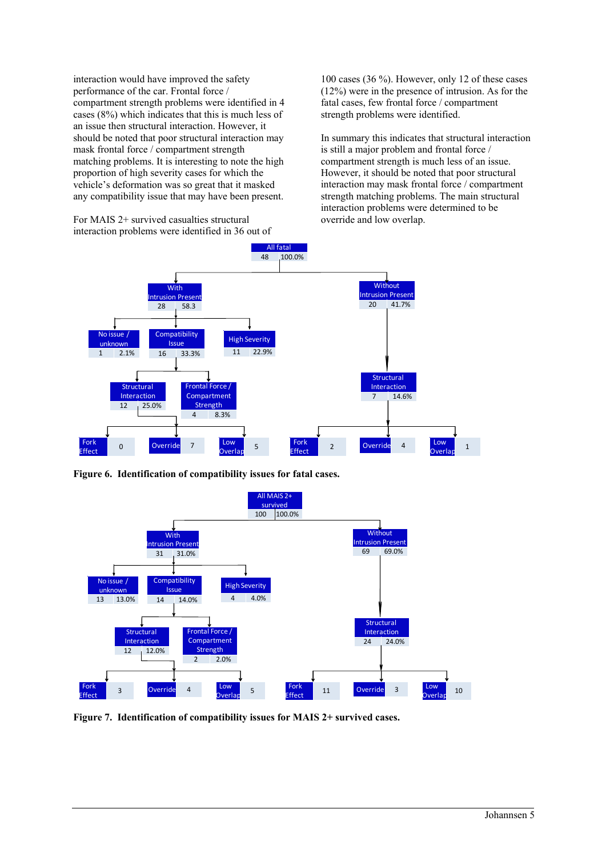interaction would have improved the safety performance of the car. Frontal force / compartment strength problems were identified in 4 cases (8%) which indicates that this is much less of an issue then structural interaction. However, it should be noted that poor structural interaction may mask frontal force / compartment strength matching problems. It is interesting to note the high proportion of high severity cases for which the vehicle's deformation was so great that it masked any compatibility issue that may have been present.

For MAIS 2+ survived casualties structural interaction problems were identified in 36 out of 100 cases (36 %). However, only 12 of these cases (12%) were in the presence of intrusion. As for the fatal cases, few frontal force / compartment strength problems were identified.

In summary this indicates that structural interaction is still a major problem and frontal force / compartment strength is much less of an issue. However, it should be noted that poor structural interaction may mask frontal force / compartment strength matching problems. The main structural interaction problems were determined to be override and low overlap.



**Figure 6. Identification of compatibility issues for fatal cases.** 



**Figure 7. Identification of compatibility issues for MAIS 2+ survived cases.**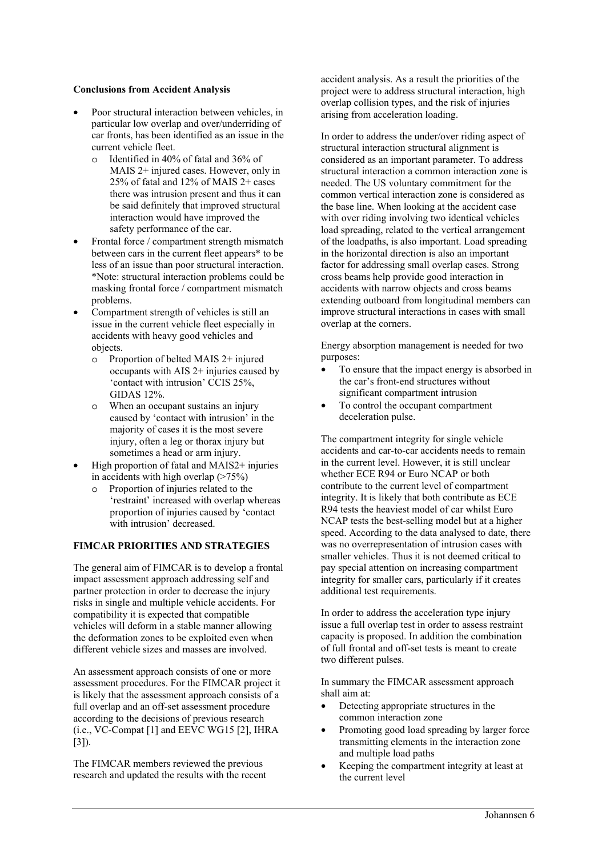### **Conclusions from Accident Analysis**

- Poor structural interaction between vehicles, in particular low overlap and over/underriding of car fronts, has been identified as an issue in the current vehicle fleet.
	- o Identified in 40% of fatal and 36% of MAIS 2+ injured cases. However, only in 25% of fatal and 12% of MAIS 2+ cases there was intrusion present and thus it can be said definitely that improved structural interaction would have improved the safety performance of the car.
- Frontal force / compartment strength mismatch between cars in the current fleet appears\* to be less of an issue than poor structural interaction. \*Note: structural interaction problems could be masking frontal force / compartment mismatch problems.
- Compartment strength of vehicles is still an issue in the current vehicle fleet especially in accidents with heavy good vehicles and objects.
	- o Proportion of belted MAIS 2+ injured occupants with AIS 2+ injuries caused by 'contact with intrusion' CCIS 25%, GIDAS 12%.
	- o When an occupant sustains an injury caused by 'contact with intrusion' in the majority of cases it is the most severe injury, often a leg or thorax injury but sometimes a head or arm injury.
- High proportion of fatal and MAIS2+ injuries in accidents with high overlap  $($ >75%)
	- o Proportion of injuries related to the 'restraint' increased with overlap whereas proportion of injuries caused by 'contact with intrusion' decreased.

## **FIMCAR PRIORITIES AND STRATEGIES**

The general aim of FIMCAR is to develop a frontal impact assessment approach addressing self and partner protection in order to decrease the injury risks in single and multiple vehicle accidents. For compatibility it is expected that compatible vehicles will deform in a stable manner allowing the deformation zones to be exploited even when different vehicle sizes and masses are involved.

An assessment approach consists of one or more assessment procedures. For the FIMCAR project it is likely that the assessment approach consists of a full overlap and an off-set assessment procedure according to the decisions of previous research (i.e., VC-Compat [1] and EEVC WG15 [2], IHRA [3]).

The FIMCAR members reviewed the previous research and updated the results with the recent

accident analysis. As a result the priorities of the project were to address structural interaction, high overlap collision types, and the risk of injuries arising from acceleration loading.

In order to address the under/over riding aspect of structural interaction structural alignment is considered as an important parameter. To address structural interaction a common interaction zone is needed. The US voluntary commitment for the common vertical interaction zone is considered as the base line. When looking at the accident case with over riding involving two identical vehicles load spreading, related to the vertical arrangement of the loadpaths, is also important. Load spreading in the horizontal direction is also an important factor for addressing small overlap cases. Strong cross beams help provide good interaction in accidents with narrow objects and cross beams extending outboard from longitudinal members can improve structural interactions in cases with small overlap at the corners.

Energy absorption management is needed for two purposes:

- To ensure that the impact energy is absorbed in the car's front-end structures without significant compartment intrusion
- To control the occupant compartment deceleration pulse.

The compartment integrity for single vehicle accidents and car-to-car accidents needs to remain in the current level. However, it is still unclear whether ECE R94 or Euro NCAP or both contribute to the current level of compartment integrity. It is likely that both contribute as ECE R94 tests the heaviest model of car whilst Euro NCAP tests the best-selling model but at a higher speed. According to the data analysed to date, there was no overrepresentation of intrusion cases with smaller vehicles. Thus it is not deemed critical to pay special attention on increasing compartment integrity for smaller cars, particularly if it creates additional test requirements.

In order to address the acceleration type injury issue a full overlap test in order to assess restraint capacity is proposed. In addition the combination of full frontal and off-set tests is meant to create two different pulses.

In summary the FIMCAR assessment approach shall aim at:

- Detecting appropriate structures in the common interaction zone
- Promoting good load spreading by larger force transmitting elements in the interaction zone and multiple load paths
- Keeping the compartment integrity at least at the current level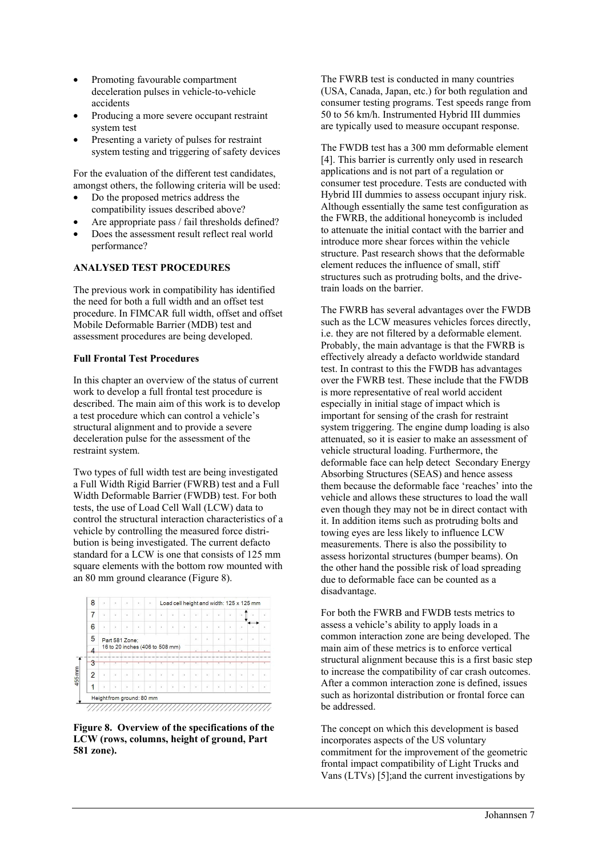- Promoting favourable compartment deceleration pulses in vehicle-to-vehicle accidents
- Producing a more severe occupant restraint system test
- Presenting a variety of pulses for restraint system testing and triggering of safety devices

For the evaluation of the different test candidates, amongst others, the following criteria will be used:

- Do the proposed metrics address the compatibility issues described above?
- Are appropriate pass / fail thresholds defined?
- Does the assessment result reflect real world performance?

## **ANALYSED TEST PROCEDURES**

The previous work in compatibility has identified the need for both a full width and an offset test procedure. In FIMCAR full width, offset and offset Mobile Deformable Barrier (MDB) test and assessment procedures are being developed.

## **Full Frontal Test Procedures**

In this chapter an overview of the status of current work to develop a full frontal test procedure is described. The main aim of this work is to develop a test procedure which can control a vehicle's structural alignment and to provide a severe deceleration pulse for the assessment of the restraint system.

Two types of full width test are being investigated a Full Width Rigid Barrier (FWRB) test and a Full Width Deformable Barrier (FWDB) test. For both tests, the use of Load Cell Wall (LCW) data to control the structural interaction characteristics of a vehicle by controlling the measured force distribution is being investigated. The current defacto standard for a LCW is one that consists of 125 mm square elements with the bottom row mounted with an 80 mm ground clearance (Figure 8).



**Figure 8. Overview of the specifications of the LCW (rows, columns, height of ground, Part 581 zone).** 

The FWRB test is conducted in many countries (USA, Canada, Japan, etc.) for both regulation and consumer testing programs. Test speeds range from 50 to 56 km/h. Instrumented Hybrid III dummies are typically used to measure occupant response.

The FWDB test has a 300 mm deformable element [4]. This barrier is currently only used in research applications and is not part of a regulation or consumer test procedure. Tests are conducted with Hybrid III dummies to assess occupant injury risk. Although essentially the same test configuration as the FWRB, the additional honeycomb is included to attenuate the initial contact with the barrier and introduce more shear forces within the vehicle structure. Past research shows that the deformable element reduces the influence of small, stiff structures such as protruding bolts, and the drivetrain loads on the barrier.

The FWRB has several advantages over the FWDB such as the LCW measures vehicles forces directly, i.e. they are not filtered by a deformable element. Probably, the main advantage is that the FWRB is effectively already a defacto worldwide standard test. In contrast to this the FWDB has advantages over the FWRB test. These include that the FWDB is more representative of real world accident especially in initial stage of impact which is important for sensing of the crash for restraint system triggering. The engine dump loading is also attenuated, so it is easier to make an assessment of vehicle structural loading. Furthermore, the deformable face can help detect Secondary Energy Absorbing Structures (SEAS) and hence assess them because the deformable face 'reaches' into the vehicle and allows these structures to load the wall even though they may not be in direct contact with it. In addition items such as protruding bolts and towing eyes are less likely to influence LCW measurements. There is also the possibility to assess horizontal structures (bumper beams). On the other hand the possible risk of load spreading due to deformable face can be counted as a disadvantage.

For both the FWRB and FWDB tests metrics to assess a vehicle's ability to apply loads in a common interaction zone are being developed. The main aim of these metrics is to enforce vertical structural alignment because this is a first basic step to increase the compatibility of car crash outcomes. After a common interaction zone is defined, issues such as horizontal distribution or frontal force can be addressed.

The concept on which this development is based incorporates aspects of the US voluntary commitment for the improvement of the geometric frontal impact compatibility of Light Trucks and Vans (LTVs) [5];and the current investigations by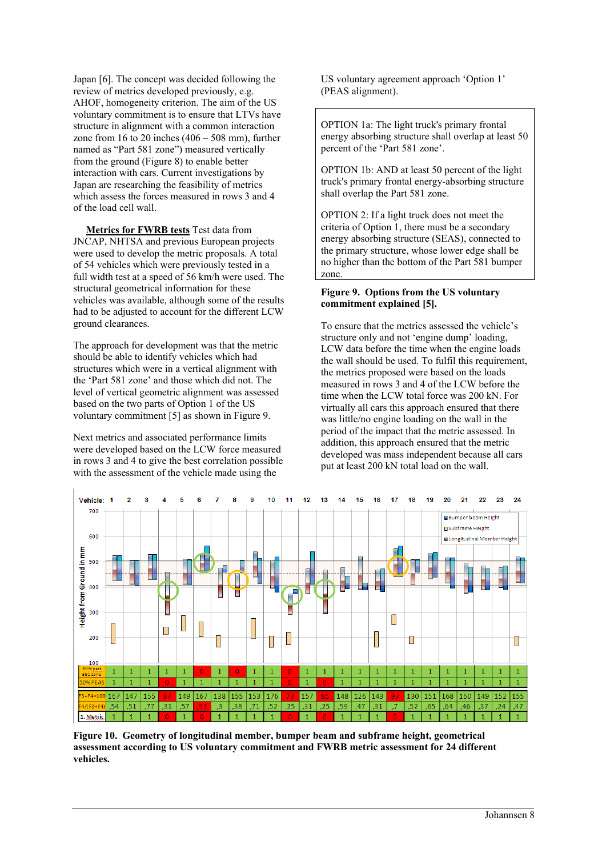Japan [6]. The concept was decided following the review of metrics developed previously, e.g. AHOF, homogeneity criterion. The aim of the US voluntary commitment is to ensure that LTVs have structure in alignment with a common interaction zone from  $16$  to  $20$  inches  $(406 - 508$  mm), further named as "Part 581 zone") measured vertically from the ground (Figure 8) to enable better interaction with cars. Current investigations by Japan are researching the feasibility of metrics which assess the forces measured in rows 3 and 4 of the load cell wall.

 **Metrics for FWRB tests** Test data from JNCAP, NHTSA and previous European projects were used to develop the metric proposals. A total of 54 vehicles which were previously tested in a full width test at a speed of 56 km/h were used. The structural geometrical information for these vehicles was available, although some of the results had to be adjusted to account for the different LCW ground clearances.

The approach for development was that the metric should be able to identify vehicles which had structures which were in a vertical alignment with the 'Part 581 zone' and those which did not. The level of vertical geometric alignment was assessed based on the two parts of Option 1 of the US voluntary commitment [5] as shown in Figure 9.

Next metrics and associated performance limits were developed based on the LCW force measured in rows 3 and 4 to give the best correlation possible with the assessment of the vehicle made using the

US voluntary agreement approach 'Option 1' (PEAS alignment).

OPTION 1a: The light truck's primary frontal energy absorbing structure shall overlap at least 50 percent of the 'Part 581 zone'.

OPTION 1b: AND at least 50 percent of the light truck's primary frontal energy-absorbing structure shall overlap the Part 581 zone.

OPTION 2: If a light truck does not meet the criteria of Option 1, there must be a secondary energy absorbing structure (SEAS), connected to the primary structure, whose lower edge shall be no higher than the bottom of the Part 581 bumper zone.

### **Figure 9. Options from the US voluntary commitment explained [5].**

To ensure that the metrics assessed the vehicle's structure only and not 'engine dump' loading, LCW data before the time when the engine loads the wall should be used. To fulfil this requirement, the metrics proposed were based on the loads measured in rows 3 and 4 of the LCW before the time when the LCW total force was 200 kN. For virtually all cars this approach ensured that there was little/no engine loading on the wall in the period of the impact that the metric assessed. In addition, this approach ensured that the metric developed was mass independent because all cars put at least 200 kN total load on the wall.



**Figure 10. Geometry of longitudinal member, bumper beam and subframe height, geometrical assessment according to US voluntary commitment and FWRB metric assessment for 24 different vehicles.**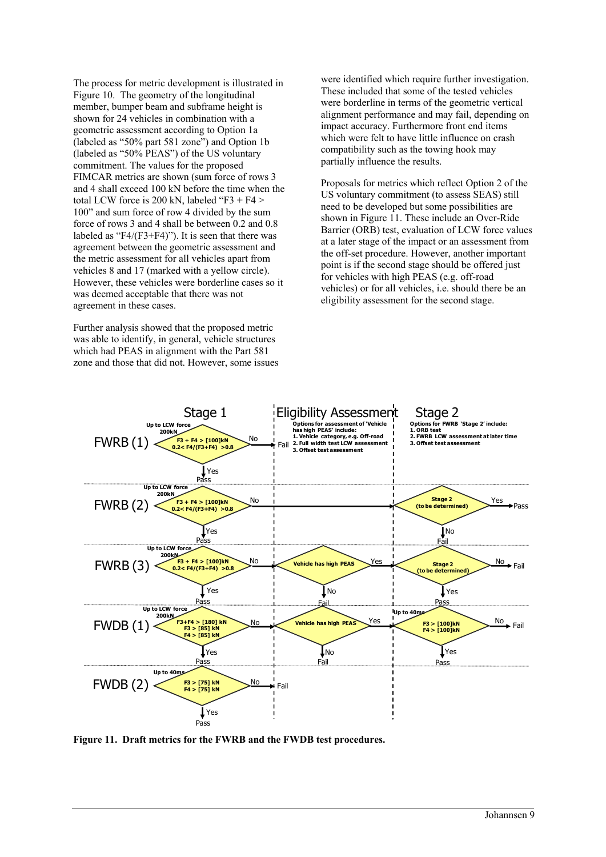The process for metric development is illustrated in Figure 10. The geometry of the longitudinal member, bumper beam and subframe height is shown for 24 vehicles in combination with a geometric assessment according to Option 1a (labeled as "50% part 581 zone") and Option 1b (labeled as "50% PEAS") of the US voluntary commitment. The values for the proposed FIMCAR metrics are shown (sum force of rows 3 and 4 shall exceed 100 kN before the time when the total LCW force is 200 kN, labeled "F3 + F4  $>$ 100" and sum force of row 4 divided by the sum force of rows 3 and 4 shall be between 0.2 and 0.8 labeled as " $F4/(F3+F4)$ "). It is seen that there was agreement between the geometric assessment and the metric assessment for all vehicles apart from vehicles 8 and 17 (marked with a yellow circle). However, these vehicles were borderline cases so it was deemed acceptable that there was not agreement in these cases.

Further analysis showed that the proposed metric was able to identify, in general, vehicle structures which had PEAS in alignment with the Part 581 zone and those that did not. However, some issues were identified which require further investigation. These included that some of the tested vehicles were borderline in terms of the geometric vertical alignment performance and may fail, depending on impact accuracy. Furthermore front end items which were felt to have little influence on crash compatibility such as the towing hook may partially influence the results.

Proposals for metrics which reflect Option 2 of the US voluntary commitment (to assess SEAS) still need to be developed but some possibilities are shown in Figure 11. These include an Over-Ride Barrier (ORB) test, evaluation of LCW force values at a later stage of the impact or an assessment from the off-set procedure. However, another important point is if the second stage should be offered just for vehicles with high PEAS (e.g. off-road vehicles) or for all vehicles, i.e. should there be an eligibility assessment for the second stage.



**Figure 11. Draft metrics for the FWRB and the FWDB test procedures.**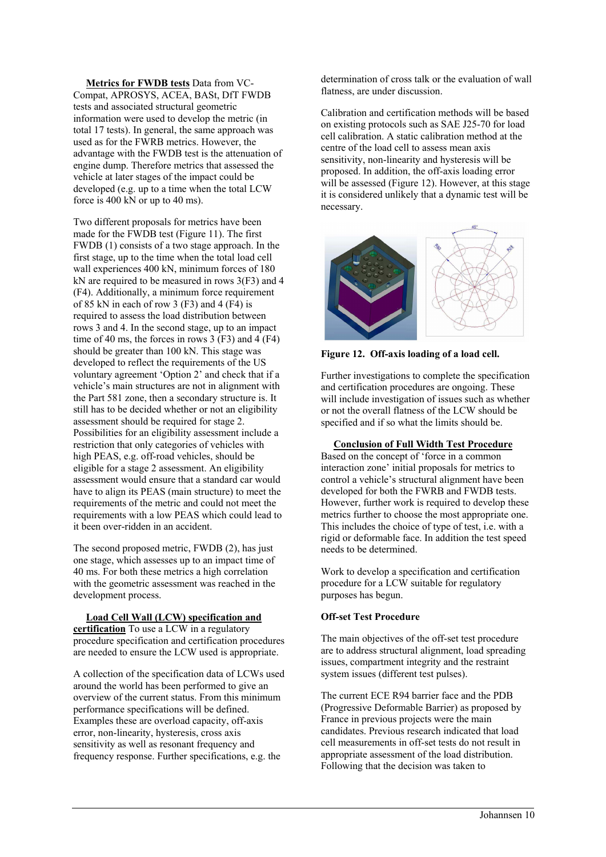**Metrics for FWDB tests** Data from VC-Compat, APROSYS, ACEA, BASt, DfT FWDB tests and associated structural geometric information were used to develop the metric (in total 17 tests). In general, the same approach was used as for the FWRB metrics. However, the advantage with the FWDB test is the attenuation of engine dump. Therefore metrics that assessed the vehicle at later stages of the impact could be developed (e.g. up to a time when the total LCW force is 400 kN or up to 40 ms).

Two different proposals for metrics have been made for the FWDB test (Figure 11). The first FWDB (1) consists of a two stage approach. In the first stage, up to the time when the total load cell wall experiences 400 kN, minimum forces of 180 kN are required to be measured in rows 3(F3) and 4 (F4). Additionally, a minimum force requirement of 85 kN in each of row 3 (F3) and 4 (F4) is required to assess the load distribution between rows 3 and 4. In the second stage, up to an impact time of 40 ms, the forces in rows 3  $(F3)$  and 4  $(F4)$ should be greater than 100 kN. This stage was developed to reflect the requirements of the US voluntary agreement 'Option 2' and check that if a vehicle's main structures are not in alignment with the Part 581 zone, then a secondary structure is. It still has to be decided whether or not an eligibility assessment should be required for stage 2. Possibilities for an eligibility assessment include a restriction that only categories of vehicles with high PEAS, e.g. off-road vehicles, should be eligible for a stage 2 assessment. An eligibility assessment would ensure that a standard car would have to align its PEAS (main structure) to meet the requirements of the metric and could not meet the requirements with a low PEAS which could lead to it been over-ridden in an accident.

The second proposed metric, FWDB (2), has just one stage, which assesses up to an impact time of 40 ms. For both these metrics a high correlation with the geometric assessment was reached in the development process.

#### **Load Cell Wall (LCW) specification and**

**certification** To use a LCW in a regulatory procedure specification and certification procedures are needed to ensure the LCW used is appropriate.

A collection of the specification data of LCWs used around the world has been performed to give an overview of the current status. From this minimum performance specifications will be defined. Examples these are overload capacity, off-axis error, non-linearity, hysteresis, cross axis sensitivity as well as resonant frequency and frequency response. Further specifications, e.g. the

determination of cross talk or the evaluation of wall flatness, are under discussion.

Calibration and certification methods will be based on existing protocols such as SAE J25-70 for load cell calibration. A static calibration method at the centre of the load cell to assess mean axis sensitivity, non-linearity and hysteresis will be proposed. In addition, the off-axis loading error will be assessed (Figure 12). However, at this stage it is considered unlikely that a dynamic test will be necessary.



**Figure 12. Off-axis loading of a load cell.** 

Further investigations to complete the specification and certification procedures are ongoing. These will include investigation of issues such as whether or not the overall flatness of the LCW should be specified and if so what the limits should be.

### **Conclusion of Full Width Test Procedure**

Based on the concept of 'force in a common interaction zone' initial proposals for metrics to control a vehicle's structural alignment have been developed for both the FWRB and FWDB tests. However, further work is required to develop these metrics further to choose the most appropriate one. This includes the choice of type of test, i.e. with a rigid or deformable face. In addition the test speed needs to be determined.

Work to develop a specification and certification procedure for a LCW suitable for regulatory purposes has begun.

### **Off-set Test Procedure**

The main objectives of the off-set test procedure are to address structural alignment, load spreading issues, compartment integrity and the restraint system issues (different test pulses).

The current ECE R94 barrier face and the PDB (Progressive Deformable Barrier) as proposed by France in previous projects were the main candidates. Previous research indicated that load cell measurements in off-set tests do not result in appropriate assessment of the load distribution. Following that the decision was taken to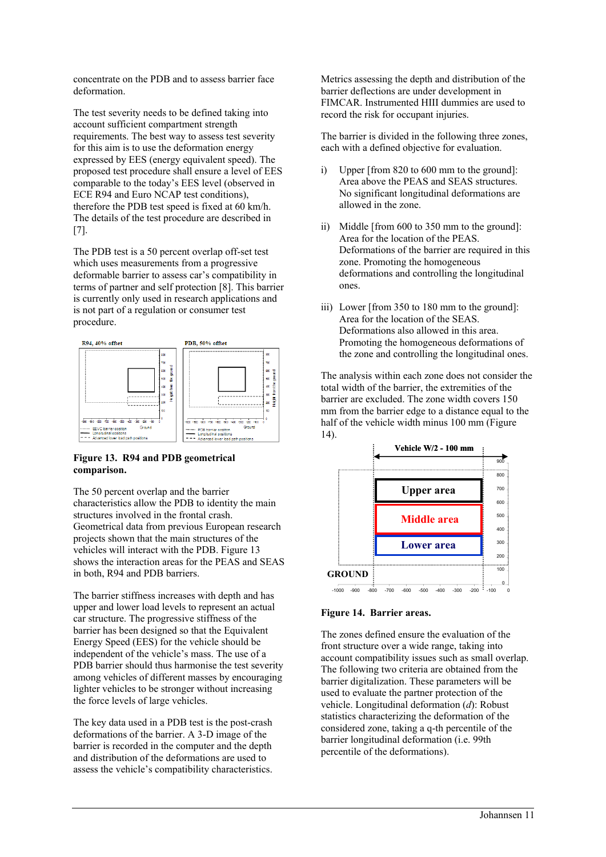concentrate on the PDB and to assess barrier face deformation.

The test severity needs to be defined taking into account sufficient compartment strength requirements. The best way to assess test severity for this aim is to use the deformation energy expressed by EES (energy equivalent speed). The proposed test procedure shall ensure a level of EES comparable to the today's EES level (observed in ECE R94 and Euro NCAP test conditions), therefore the PDB test speed is fixed at 60 km/h. The details of the test procedure are described in [7].

The PDB test is a 50 percent overlap off-set test which uses measurements from a progressive deformable barrier to assess car's compatibility in terms of partner and self protection [8]. This barrier is currently only used in research applications and is not part of a regulation or consumer test procedure.



## **Figure 13. R94 and PDB geometrical comparison.**

The 50 percent overlap and the barrier characteristics allow the PDB to identity the main structures involved in the frontal crash. Geometrical data from previous European research projects shown that the main structures of the vehicles will interact with the PDB. Figure 13 shows the interaction areas for the PEAS and SEAS in both, R94 and PDB barriers.

The barrier stiffness increases with depth and has upper and lower load levels to represent an actual car structure. The progressive stiffness of the barrier has been designed so that the Equivalent Energy Speed (EES) for the vehicle should be independent of the vehicle's mass. The use of a PDB barrier should thus harmonise the test severity among vehicles of different masses by encouraging lighter vehicles to be stronger without increasing the force levels of large vehicles.

The key data used in a PDB test is the post-crash deformations of the barrier. A 3-D image of the barrier is recorded in the computer and the depth and distribution of the deformations are used to assess the vehicle's compatibility characteristics.

Metrics assessing the depth and distribution of the barrier deflections are under development in FIMCAR. Instrumented HIII dummies are used to record the risk for occupant injuries.

The barrier is divided in the following three zones, each with a defined objective for evaluation.

- i) Upper [from 820 to 600 mm to the ground]: Area above the PEAS and SEAS structures. No significant longitudinal deformations are allowed in the zone.
- ii) Middle [from 600 to 350 mm to the ground]: Area for the location of the PEAS. Deformations of the barrier are required in this zone. Promoting the homogeneous deformations and controlling the longitudinal ones.
- iii) Lower [from 350 to 180 mm to the ground]: Area for the location of the SEAS. Deformations also allowed in this area. Promoting the homogeneous deformations of the zone and controlling the longitudinal ones.

The analysis within each zone does not consider the total width of the barrier, the extremities of the barrier are excluded. The zone width covers 150 mm from the barrier edge to a distance equal to the half of the vehicle width minus 100 mm (Figure) 14).



### **Figure 14. Barrier areas.**

The zones defined ensure the evaluation of the front structure over a wide range, taking into account compatibility issues such as small overlap. The following two criteria are obtained from the barrier digitalization. These parameters will be used to evaluate the partner protection of the vehicle. Longitudinal deformation (*d*): Robust statistics characterizing the deformation of the considered zone, taking a q-th percentile of the barrier longitudinal deformation (i.e. 99th percentile of the deformations).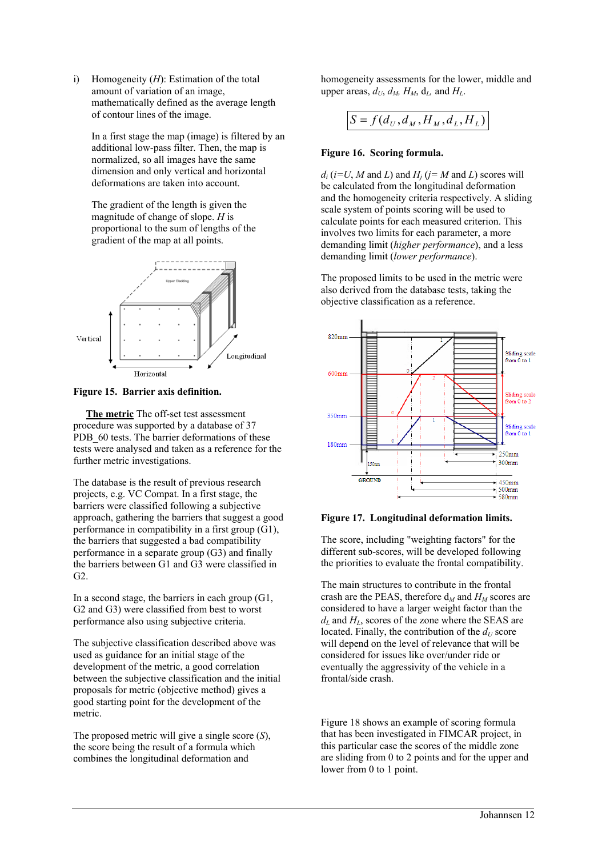i) Homogeneity (*H*): Estimation of the total amount of variation of an image, mathematically defined as the average length of contour lines of the image.

In a first stage the map (image) is filtered by an additional low-pass filter. Then, the map is normalized, so all images have the same dimension and only vertical and horizontal deformations are taken into account.

The gradient of the length is given the magnitude of change of slope. *H* is proportional to the sum of lengths of the gradient of the map at all points.



**Figure 15. Barrier axis definition.**

 **The metric** The off-set test assessment procedure was supported by a database of 37 PDB 60 tests. The barrier deformations of these tests were analysed and taken as a reference for the further metric investigations.

The database is the result of previous research projects, e.g. VC Compat. In a first stage, the barriers were classified following a subjective approach, gathering the barriers that suggest a good performance in compatibility in a first group (G1), the barriers that suggested a bad compatibility performance in a separate group (G3) and finally the barriers between G1 and G3 were classified in  $G2$ 

In a second stage, the barriers in each group (G1, G2 and G3) were classified from best to worst performance also using subjective criteria.

The subjective classification described above was used as guidance for an initial stage of the development of the metric, a good correlation between the subjective classification and the initial proposals for metric (objective method) gives a good starting point for the development of the metric.

The proposed metric will give a single score (*S*), the score being the result of a formula which combines the longitudinal deformation and

homogeneity assessments for the lower, middle and upper areas,  $d_U$ ,  $d_M$ ,  $H_M$ ,  $d_L$ , and  $H_L$ .

$$
S = f(d_U, d_M, H_M, d_L, H_L)
$$

## **Figure 16. Scoring formula.**

 $d_i$  ( $i=U$ , *M* and *L*) and  $H_i$  ( $i=M$  and *L*) scores will be calculated from the longitudinal deformation and the homogeneity criteria respectively. A sliding scale system of points scoring will be used to calculate points for each measured criterion. This involves two limits for each parameter, a more demanding limit (*higher performance*), and a less demanding limit (*lower performance*).

The proposed limits to be used in the metric were also derived from the database tests, taking the objective classification as a reference.



#### **Figure 17. Longitudinal deformation limits.**

The score, including "weighting factors" for the different sub-scores, will be developed following the priorities to evaluate the frontal compatibility.

The main structures to contribute in the frontal crash are the PEAS, therefore  $d_M$  and  $H_M$  scores are considered to have a larger weight factor than the  $d_L$  and  $H_L$ , scores of the zone where the SEAS are located. Finally, the contribution of the  $d_U$  score will depend on the level of relevance that will be considered for issues like over/under ride or eventually the aggressivity of the vehicle in a frontal/side crash.

Figure 18 shows an example of scoring formula that has been investigated in FIMCAR project, in this particular case the scores of the middle zone are sliding from 0 to 2 points and for the upper and lower from 0 to 1 point.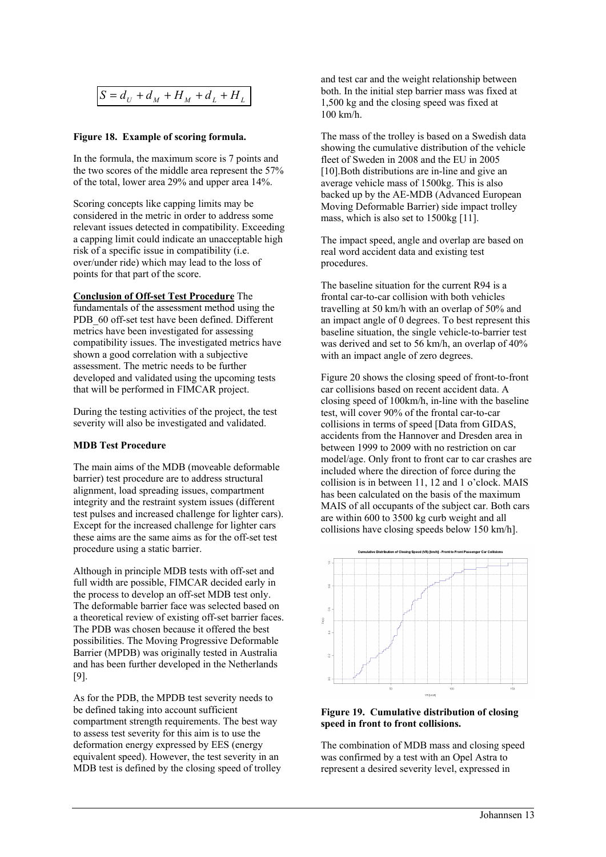$$
S = d_U + d_M + H_M + d_L + H_L
$$

#### **Figure 18. Example of scoring formula.**

In the formula, the maximum score is 7 points and the two scores of the middle area represent the 57% of the total, lower area 29% and upper area 14%.

Scoring concepts like capping limits may be considered in the metric in order to address some relevant issues detected in compatibility. Exceeding a capping limit could indicate an unacceptable high risk of a specific issue in compatibility (i.e. over/under ride) which may lead to the loss of points for that part of the score.

**Conclusion of Off-set Test Procedure** The fundamentals of the assessment method using the PDB 60 off-set test have been defined. Different metrics have been investigated for assessing compatibility issues. The investigated metrics have shown a good correlation with a subjective assessment. The metric needs to be further developed and validated using the upcoming tests that will be performed in FIMCAR project.

During the testing activities of the project, the test severity will also be investigated and validated.

#### **MDB Test Procedure**

The main aims of the MDB (moveable deformable barrier) test procedure are to address structural alignment, load spreading issues, compartment integrity and the restraint system issues (different test pulses and increased challenge for lighter cars). Except for the increased challenge for lighter cars these aims are the same aims as for the off-set test procedure using a static barrier.

Although in principle MDB tests with off-set and full width are possible, FIMCAR decided early in the process to develop an off-set MDB test only. The deformable barrier face was selected based on a theoretical review of existing off-set barrier faces. The PDB was chosen because it offered the best possibilities. The Moving Progressive Deformable Barrier (MPDB) was originally tested in Australia and has been further developed in the Netherlands [9].

As for the PDB, the MPDB test severity needs to be defined taking into account sufficient compartment strength requirements. The best way to assess test severity for this aim is to use the deformation energy expressed by EES (energy equivalent speed). However, the test severity in an MDB test is defined by the closing speed of trolley and test car and the weight relationship between both. In the initial step barrier mass was fixed at 1,500 kg and the closing speed was fixed at 100 km/h.

The mass of the trolley is based on a Swedish data showing the cumulative distribution of the vehicle fleet of Sweden in 2008 and the EU in 2005 [10].Both distributions are in-line and give an average vehicle mass of 1500kg. This is also backed up by the AE-MDB (Advanced European Moving Deformable Barrier) side impact trolley mass, which is also set to 1500kg [11].

The impact speed, angle and overlap are based on real word accident data and existing test procedures.

The baseline situation for the current R94 is a frontal car-to-car collision with both vehicles travelling at 50 km/h with an overlap of 50% and an impact angle of 0 degrees. To best represent this baseline situation, the single vehicle-to-barrier test was derived and set to 56 km/h, an overlap of 40% with an impact angle of zero degrees.

Figure 20 shows the closing speed of front-to-front car collisions based on recent accident data. A closing speed of 100km/h, in-line with the baseline test, will cover 90% of the frontal car-to-car collisions in terms of speed [Data from GIDAS, accidents from the Hannover and Dresden area in between 1999 to 2009 with no restriction on car model/age. Only front to front car to car crashes are included where the direction of force during the collision is in between 11, 12 and 1 o'clock. MAIS has been calculated on the basis of the maximum MAIS of all occupants of the subject car. Both cars are within 600 to 3500 kg curb weight and all collisions have closing speeds below 150 km/h].



### **Figure 19. Cumulative distribution of closing speed in front to front collisions.**

The combination of MDB mass and closing speed was confirmed by a test with an Opel Astra to represent a desired severity level, expressed in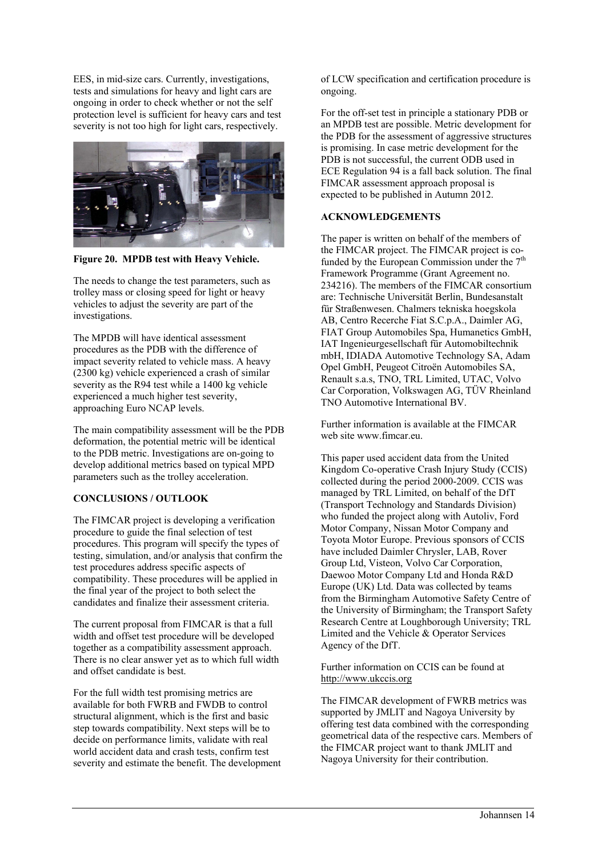EES, in mid-size cars. Currently, investigations, tests and simulations for heavy and light cars are ongoing in order to check whether or not the self protection level is sufficient for heavy cars and test severity is not too high for light cars, respectively.



**Figure 20. MPDB test with Heavy Vehicle.** 

The needs to change the test parameters, such as trolley mass or closing speed for light or heavy vehicles to adjust the severity are part of the investigations.

The MPDB will have identical assessment procedures as the PDB with the difference of impact severity related to vehicle mass. A heavy (2300 kg) vehicle experienced a crash of similar severity as the R94 test while a 1400 kg vehicle experienced a much higher test severity, approaching Euro NCAP levels.

The main compatibility assessment will be the PDB deformation, the potential metric will be identical to the PDB metric. Investigations are on-going to develop additional metrics based on typical MPD parameters such as the trolley acceleration.

## **CONCLUSIONS / OUTLOOK**

The FIMCAR project is developing a verification procedure to guide the final selection of test procedures. This program will specify the types of testing, simulation, and/or analysis that confirm the test procedures address specific aspects of compatibility. These procedures will be applied in the final year of the project to both select the candidates and finalize their assessment criteria.

The current proposal from FIMCAR is that a full width and offset test procedure will be developed together as a compatibility assessment approach. There is no clear answer yet as to which full width and offset candidate is best.

For the full width test promising metrics are available for both FWRB and FWDB to control structural alignment, which is the first and basic step towards compatibility. Next steps will be to decide on performance limits, validate with real world accident data and crash tests, confirm test severity and estimate the benefit. The development of LCW specification and certification procedure is ongoing.

For the off-set test in principle a stationary PDB or an MPDB test are possible. Metric development for the PDB for the assessment of aggressive structures is promising. In case metric development for the PDB is not successful, the current ODB used in ECE Regulation 94 is a fall back solution. The final FIMCAR assessment approach proposal is expected to be published in Autumn 2012.

## **ACKNOWLEDGEMENTS**

The paper is written on behalf of the members of the FIMCAR project. The FIMCAR project is cofunded by the European Commission under the 7<sup>th</sup> Framework Programme (Grant Agreement no. 234216). The members of the FIMCAR consortium are: Technische Universität Berlin, Bundesanstalt für Straßenwesen. Chalmers tekniska hoegskola AB, Centro Recerche Fiat S.C.p.A., Daimler AG, FIAT Group Automobiles Spa, Humanetics GmbH, IAT Ingenieurgesellschaft für Automobiltechnik mbH, IDIADA Automotive Technology SA, Adam Opel GmbH, Peugeot Citroën Automobiles SA, Renault s.a.s, TNO, TRL Limited, UTAC, Volvo Car Corporation, Volkswagen AG, TÜV Rheinland TNO Automotive International BV.

Further information is available at the FIMCAR web site www.fimcar.eu.

This paper used accident data from the United Kingdom Co-operative Crash Injury Study (CCIS) collected during the period 2000-2009. CCIS was managed by TRL Limited, on behalf of the DfT (Transport Technology and Standards Division) who funded the project along with Autoliv, Ford Motor Company, Nissan Motor Company and Toyota Motor Europe. Previous sponsors of CCIS have included Daimler Chrysler, LAB, Rover Group Ltd, Visteon, Volvo Car Corporation, Daewoo Motor Company Ltd and Honda R&D Europe (UK) Ltd. Data was collected by teams from the Birmingham Automotive Safety Centre of the University of Birmingham; the Transport Safety Research Centre at Loughborough University; TRL Limited and the Vehicle & Operator Services Agency of the DfT.

Further information on CCIS can be found at http://www.ukccis.org

The FIMCAR development of FWRB metrics was supported by JMLIT and Nagoya University by offering test data combined with the corresponding geometrical data of the respective cars. Members of the FIMCAR project want to thank JMLIT and Nagoya University for their contribution.